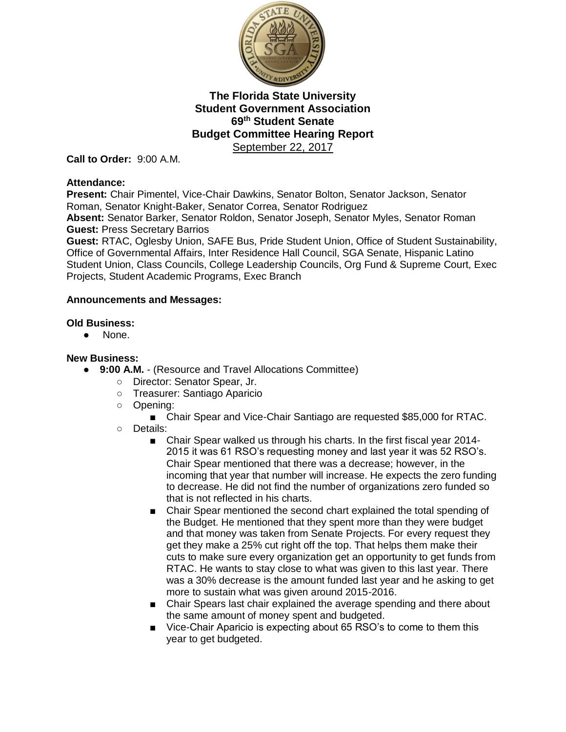

**Call to Order:** 9:00 A.M.

#### **Attendance:**

**Present:** Chair Pimentel, Vice-Chair Dawkins, Senator Bolton, Senator Jackson, Senator Roman, Senator Knight-Baker, Senator Correa, Senator Rodriguez **Absent:** Senator Barker, Senator Roldon, Senator Joseph, Senator Myles, Senator Roman

**Guest:** Press Secretary Barrios

**Guest:** RTAC, Oglesby Union, SAFE Bus, Pride Student Union, Office of Student Sustainability, Office of Governmental Affairs, Inter Residence Hall Council, SGA Senate, Hispanic Latino Student Union, Class Councils, College Leadership Councils, Org Fund & Supreme Court, Exec Projects, Student Academic Programs, Exec Branch

### **Announcements and Messages:**

# **Old Business:**

● None.

### **New Business:**

- **9:00 A.M.**  (Resource and Travel Allocations Committee)
	- Director: Senator Spear, Jr.
	- Treasurer: Santiago Aparicio
	- Opening:
		- Chair Spear and Vice-Chair Santiago are requested \$85,000 for RTAC.
	- Details:
		- Chair Spear walked us through his charts. In the first fiscal year 2014-2015 it was 61 RSO's requesting money and last year it was 52 RSO's. Chair Spear mentioned that there was a decrease; however, in the incoming that year that number will increase. He expects the zero funding to decrease. He did not find the number of organizations zero funded so that is not reflected in his charts.
		- Chair Spear mentioned the second chart explained the total spending of the Budget. He mentioned that they spent more than they were budget and that money was taken from Senate Projects. For every request they get they make a 25% cut right off the top. That helps them make their cuts to make sure every organization get an opportunity to get funds from RTAC. He wants to stay close to what was given to this last year. There was a 30% decrease is the amount funded last year and he asking to get more to sustain what was given around 2015-2016.
		- Chair Spears last chair explained the average spending and there about the same amount of money spent and budgeted.
		- Vice-Chair Aparicio is expecting about 65 RSO's to come to them this year to get budgeted.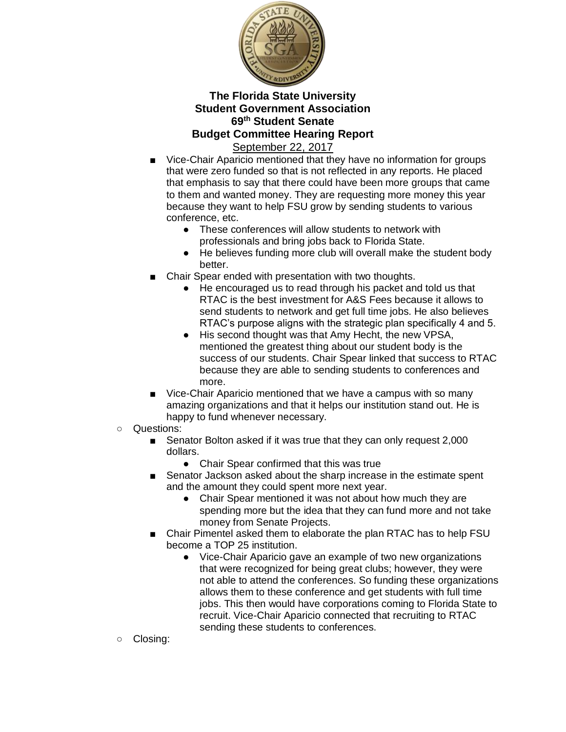

- Vice-Chair Aparicio mentioned that they have no information for groups that were zero funded so that is not reflected in any reports. He placed that emphasis to say that there could have been more groups that came to them and wanted money. They are requesting more money this year because they want to help FSU grow by sending students to various conference, etc.
	- These conferences will allow students to network with professionals and bring jobs back to Florida State.
	- He believes funding more club will overall make the student body better.
- Chair Spear ended with presentation with two thoughts.
	- He encouraged us to read through his packet and told us that RTAC is the best investment for A&S Fees because it allows to send students to network and get full time jobs. He also believes RTAC's purpose aligns with the strategic plan specifically 4 and 5.
	- His second thought was that Amy Hecht, the new VPSA, mentioned the greatest thing about our student body is the success of our students. Chair Spear linked that success to RTAC because they are able to sending students to conferences and more.
- Vice-Chair Aparicio mentioned that we have a campus with so many amazing organizations and that it helps our institution stand out. He is happy to fund whenever necessary.
- Questions:
	- Senator Bolton asked if it was true that they can only request 2,000 dollars.
		- Chair Spear confirmed that this was true
	- Senator Jackson asked about the sharp increase in the estimate spent and the amount they could spent more next year.
		- Chair Spear mentioned it was not about how much they are spending more but the idea that they can fund more and not take money from Senate Projects.
	- Chair Pimentel asked them to elaborate the plan RTAC has to help FSU become a TOP 25 institution.
		- Vice-Chair Aparicio gave an example of two new organizations that were recognized for being great clubs; however, they were not able to attend the conferences. So funding these organizations allows them to these conference and get students with full time jobs. This then would have corporations coming to Florida State to recruit. Vice-Chair Aparicio connected that recruiting to RTAC sending these students to conferences.
- Closing: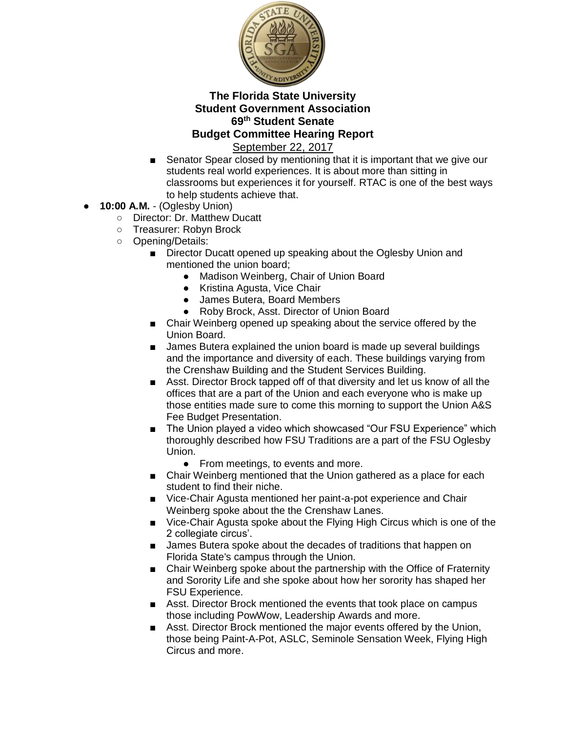

- Senator Spear closed by mentioning that it is important that we give our students real world experiences. It is about more than sitting in classrooms but experiences it for yourself. RTAC is one of the best ways to help students achieve that.
- **10:00 A.M. (Oglesby Union)** 
	- Director: Dr. Matthew Ducatt
	- Treasurer: Robyn Brock
	- Opening/Details:
		- Director Ducatt opened up speaking about the Oglesby Union and mentioned the union board;
			- Madison Weinberg, Chair of Union Board
			- Kristina Agusta, Vice Chair
			- James Butera, Board Members
			- Roby Brock, Asst. Director of Union Board
		- Chair Weinberg opened up speaking about the service offered by the Union Board.
		- James Butera explained the union board is made up several buildings and the importance and diversity of each. These buildings varying from the Crenshaw Building and the Student Services Building.
		- Asst. Director Brock tapped off of that diversity and let us know of all the offices that are a part of the Union and each everyone who is make up those entities made sure to come this morning to support the Union A&S Fee Budget Presentation.
		- The Union played a video which showcased "Our FSU Experience" which thoroughly described how FSU Traditions are a part of the FSU Oglesby Union.
			- From meetings, to events and more.
		- Chair Weinberg mentioned that the Union gathered as a place for each student to find their niche.
		- Vice-Chair Agusta mentioned her paint-a-pot experience and Chair Weinberg spoke about the the Crenshaw Lanes.
		- Vice-Chair Agusta spoke about the Flying High Circus which is one of the 2 collegiate circus'.
		- James Butera spoke about the decades of traditions that happen on Florida State's campus through the Union.
		- Chair Weinberg spoke about the partnership with the Office of Fraternity and Sorority Life and she spoke about how her sorority has shaped her FSU Experience.
		- Asst. Director Brock mentioned the events that took place on campus those including PowWow, Leadership Awards and more.
		- Asst. Director Brock mentioned the major events offered by the Union, those being Paint-A-Pot, ASLC, Seminole Sensation Week, Flying High Circus and more.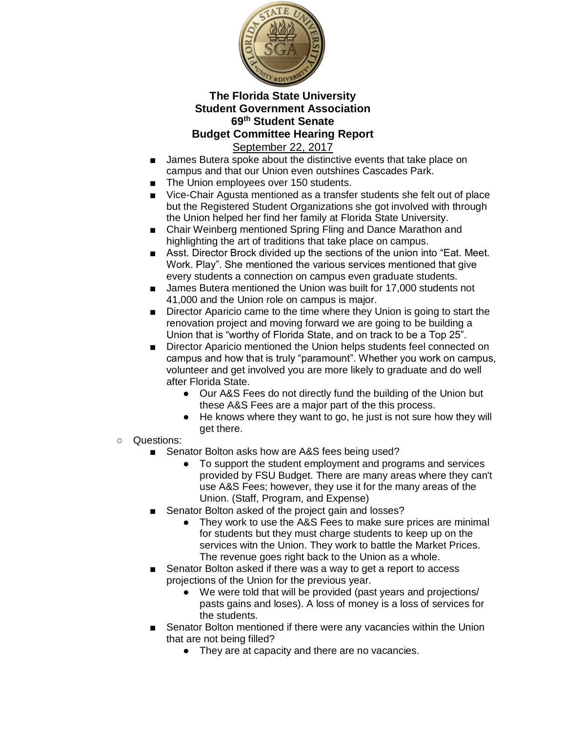

- James Butera spoke about the distinctive events that take place on campus and that our Union even outshines Cascades Park.
- The Union employees over 150 students.
- Vice-Chair Agusta mentioned as a transfer students she felt out of place but the Registered Student Organizations she got involved with through the Union helped her find her family at Florida State University.
- Chair Weinberg mentioned Spring Fling and Dance Marathon and highlighting the art of traditions that take place on campus.
- Asst. Director Brock divided up the sections of the union into "Eat. Meet. Work. Play". She mentioned the various services mentioned that give every students a connection on campus even graduate students.
- James Butera mentioned the Union was built for 17,000 students not 41,000 and the Union role on campus is major.
- Director Aparicio came to the time where they Union is going to start the renovation project and moving forward we are going to be building a Union that is "worthy of Florida State, and on track to be a Top 25".
- Director Aparicio mentioned the Union helps students feel connected on campus and how that is truly "paramount". Whether you work on campus, volunteer and get involved you are more likely to graduate and do well after Florida State.
	- Our A&S Fees do not directly fund the building of the Union but these A&S Fees are a major part of the this process.
	- He knows where they want to go, he just is not sure how they will get there.
- Questions:
	- Senator Bolton asks how are A&S fees being used?
		- To support the student employment and programs and services provided by FSU Budget. There are many areas where they can't use A&S Fees; however, they use it for the many areas of the Union. (Staff, Program, and Expense)
	- Senator Bolton asked of the project gain and losses?
		- They work to use the A&S Fees to make sure prices are minimal for students but they must charge students to keep up on the services witn the Union. They work to battle the Market Prices. The revenue goes right back to the Union as a whole.
	- Senator Bolton asked if there was a way to get a report to access projections of the Union for the previous year.
		- We were told that will be provided (past years and projections/ pasts gains and loses). A loss of money is a loss of services for the students.
	- Senator Bolton mentioned if there were any vacancies within the Union that are not being filled?
		- They are at capacity and there are no vacancies.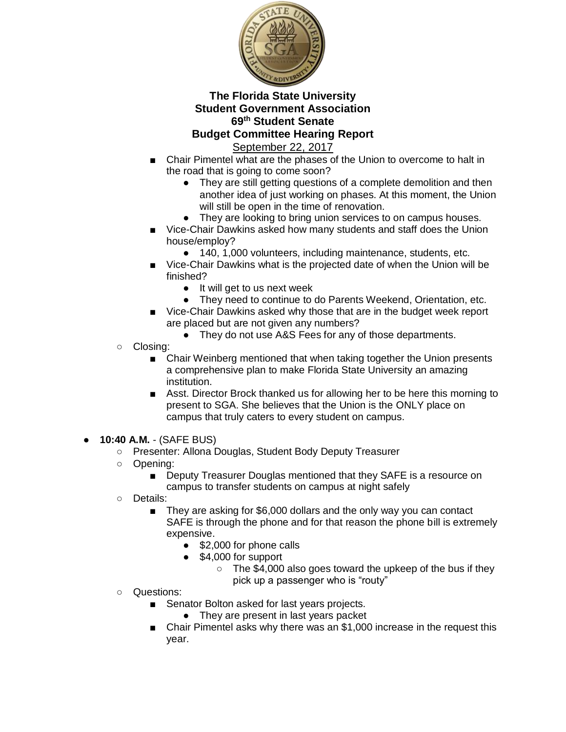

- Chair Pimentel what are the phases of the Union to overcome to halt in the road that is going to come soon?
	- They are still getting questions of a complete demolition and then another idea of just working on phases. At this moment, the Union will still be open in the time of renovation.
	- They are looking to bring union services to on campus houses.
- Vice-Chair Dawkins asked how many students and staff does the Union house/employ?
	- 140, 1,000 volunteers, including maintenance, students, etc.
- Vice-Chair Dawkins what is the projected date of when the Union will be finished?
	- It will get to us next week
	- They need to continue to do Parents Weekend, Orientation, etc.
- Vice-Chair Dawkins asked why those that are in the budget week report are placed but are not given any numbers?
	- They do not use A&S Fees for any of those departments.
- Closing:
	- Chair Weinberg mentioned that when taking together the Union presents a comprehensive plan to make Florida State University an amazing institution.
	- Asst. Director Brock thanked us for allowing her to be here this morning to present to SGA. She believes that the Union is the ONLY place on campus that truly caters to every student on campus.
- **10:40 A.M.** (SAFE BUS)
	- Presenter: Allona Douglas, Student Body Deputy Treasurer
	- Opening:
		- Deputy Treasurer Douglas mentioned that they SAFE is a resource on campus to transfer students on campus at night safely
	- Details:
		- They are asking for \$6,000 dollars and the only way you can contact SAFE is through the phone and for that reason the phone bill is extremely expensive.
			- \$2,000 for phone calls
			- \$4,000 for support
				- The \$4,000 also goes toward the upkeep of the bus if they pick up a passenger who is "routy"
	- Questions:
		- Senator Bolton asked for last years projects.
			- They are present in last years packet
		- Chair Pimentel asks why there was an \$1,000 increase in the request this year.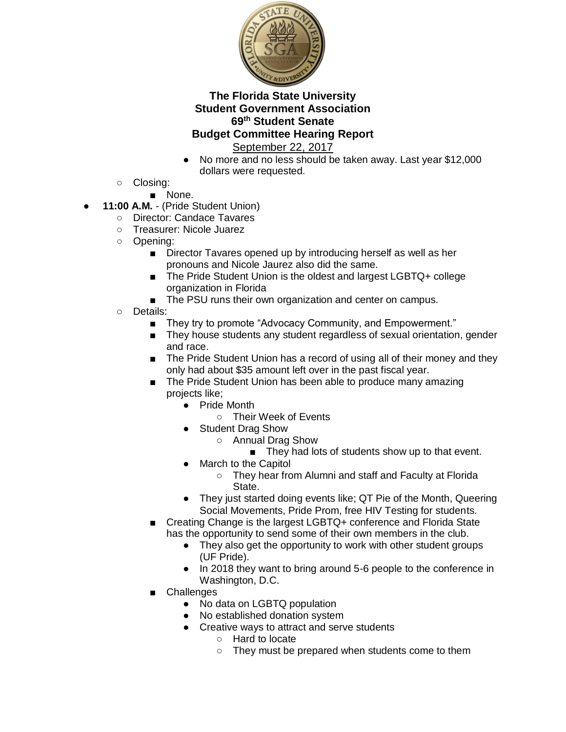

- No more and no less should be taken away. Last year \$12,000 dollars were requested.
- Closing:
	- None.
- **11:00 A.M. (Pride Student Union)** 
	- Director: Candace Tavares
	- Treasurer: Nicole Juarez
	- Opening:
		- Director Tavares opened up by introducing herself as well as her pronouns and Nicole Jaurez also did the same.
		- The Pride Student Union is the oldest and largest LGBTQ+ college organization in Florida
		- The PSU runs their own organization and center on campus.
	- Details:
		- They try to promote "Advocacy Community, and Empowerment."
		- They house students any student regardless of sexual orientation, gender and race.
		- The Pride Student Union has a record of using all of their money and they only had about \$35 amount left over in the past fiscal year.
		- The Pride Student Union has been able to produce many amazing projects like;
			- Pride Month
				- Their Week of Events
			- Student Drag Show
				- Annual Drag Show
					- They had lots of students show up to that event.
			- **March to the Capitol** 
				- They hear from Alumni and staff and Faculty at Florida State.
			- They just started doing events like; QT Pie of the Month, Queering Social Movements, Pride Prom, free HIV Testing for students.
		- Creating Change is the largest LGBTQ+ conference and Florida State has the opportunity to send some of their own members in the club.
			- They also get the opportunity to work with other student groups (UF Pride).
			- In 2018 they want to bring around 5-6 people to the conference in Washington, D.C.
			- **Challenges** 
				- No data on LGBTQ population
				- No established donation system
				- Creative ways to attract and serve students
					- Hard to locate
					- They must be prepared when students come to them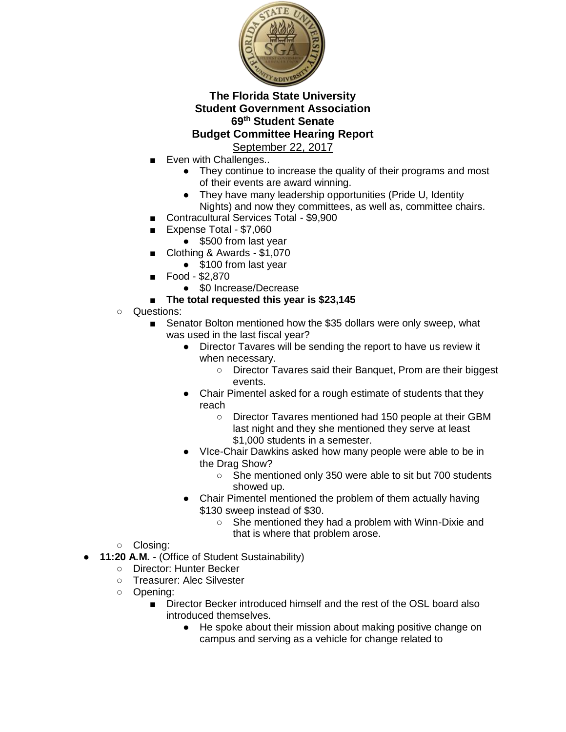

- Even with Challenges..
	- They continue to increase the quality of their programs and most of their events are award winning.
	- They have many leadership opportunities (Pride U, Identity Nights) and now they committees, as well as, committee chairs.
- Contracultural Services Total \$9,900
- Expense Total \$7,060
	- \$500 from last year
- Clothing & Awards \$1,070
	- \$100 from last year
- Food \$2,870
	- \$0 Increase/Decrease
- The total requested this year is \$23,145
- Questions:
	- Senator Bolton mentioned how the \$35 dollars were only sweep, what was used in the last fiscal year?
		- Director Tavares will be sending the report to have us review it when necessary.
			- Director Tavares said their Banquet, Prom are their biggest events.
		- Chair Pimentel asked for a rough estimate of students that they reach
			- Director Tavares mentioned had 150 people at their GBM last night and they she mentioned they serve at least \$1,000 students in a semester.
		- VIce-Chair Dawkins asked how many people were able to be in the Drag Show?
			- She mentioned only 350 were able to sit but 700 students showed up.
		- Chair Pimentel mentioned the problem of them actually having \$130 sweep instead of \$30.
			- She mentioned they had a problem with Winn-Dixie and that is where that problem arose.
- Closing:
- **11:20 A.M. (Office of Student Sustainability)** 
	- Director: Hunter Becker
	- Treasurer: Alec Silvester
	- Opening:
		- Director Becker introduced himself and the rest of the OSL board also introduced themselves.
			- He spoke about their mission about making positive change on campus and serving as a vehicle for change related to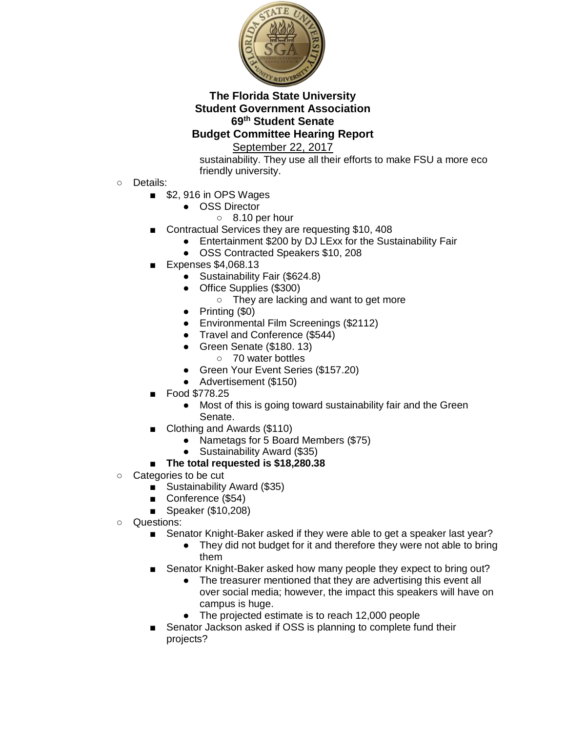

September 22, 2017

sustainability. They use all their efforts to make FSU a more eco friendly university.

- Details:
	- \$2,916 in OPS Wages
		- OSS Director
			- 8.10 per hour
	- Contractual Services they are requesting \$10, 408
		- Entertainment \$200 by DJ LExx for the Sustainability Fair
		- OSS Contracted Speakers \$10, 208
	- Expenses \$4,068.13
		- Sustainability Fair (\$624.8)
		- Office Supplies (\$300)
			- They are lacking and want to get more
		- Printing (\$0)
		- Environmental Film Screenings (\$2112)
		- Travel and Conference (\$544)
		- Green Senate (\$180. 13)
			- 70 water bottles
		- Green Your Event Series (\$157.20)
		- Advertisement (\$150)
		- Food \$778.25
			- Most of this is going toward sustainability fair and the Green Senate.
	- Clothing and Awards (\$110)
		- Nametags for 5 Board Members (\$75)
		- Sustainability Award (\$35)

# ■ **The total requested is \$18,280.38**

- Categories to be cut
	- Sustainability Award (\$35)
	- Conference (\$54)
	- Speaker (\$10,208)
- Questions:
	- Senator Knight-Baker asked if they were able to get a speaker last year?
		- They did not budget for it and therefore they were not able to bring them
	- Senator Knight-Baker asked how many people they expect to bring out?
		- The treasurer mentioned that they are advertising this event all over social media; however, the impact this speakers will have on campus is huge.
		- The projected estimate is to reach 12,000 people
	- Senator Jackson asked if OSS is planning to complete fund their projects?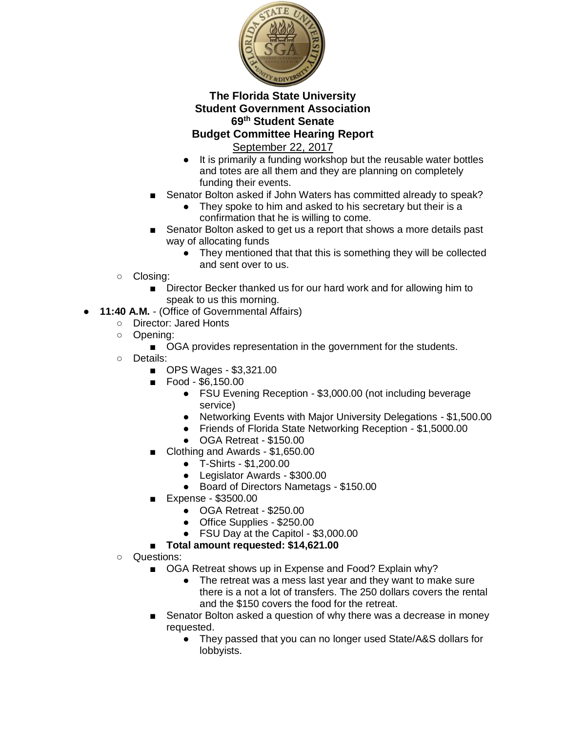

- It is primarily a funding workshop but the reusable water bottles and totes are all them and they are planning on completely funding their events.
- Senator Bolton asked if John Waters has committed already to speak?
	- They spoke to him and asked to his secretary but their is a confirmation that he is willing to come.
- Senator Bolton asked to get us a report that shows a more details past way of allocating funds
	- They mentioned that that this is something they will be collected and sent over to us.
- Closing:
	- Director Becker thanked us for our hard work and for allowing him to speak to us this morning.
- **11:40 A.M. (Office of Governmental Affairs)** 
	- Director: Jared Honts
	- Opening:
		- OGA provides representation in the government for the students.
	- Details:
		- OPS Wages \$3,321.00
		- Food \$6,150.00
			- FSU Evening Reception \$3,000.00 (not including beverage service)
			- Networking Events with Major University Delegations \$1,500.00
			- Friends of Florida State Networking Reception \$1,5000.00
			- OGA Retreat \$150.00
		- Clothing and Awards \$1,650.00
			- T-Shirts \$1,200.00
			- Legislator Awards \$300.00
			- Board of Directors Nametags \$150.00
		- Expense \$3500.00
			- OGA Retreat \$250.00
			- Office Supplies \$250.00
			- FSU Day at the Capitol \$3,000.00
		- **Total amount requested: \$14,621.00**
	- Questions:
		- OGA Retreat shows up in Expense and Food? Explain why?
			- The retreat was a mess last year and they want to make sure there is a not a lot of transfers. The 250 dollars covers the rental and the \$150 covers the food for the retreat.
		- Senator Bolton asked a question of why there was a decrease in money requested.
			- They passed that you can no longer used State/A&S dollars for lobbyists.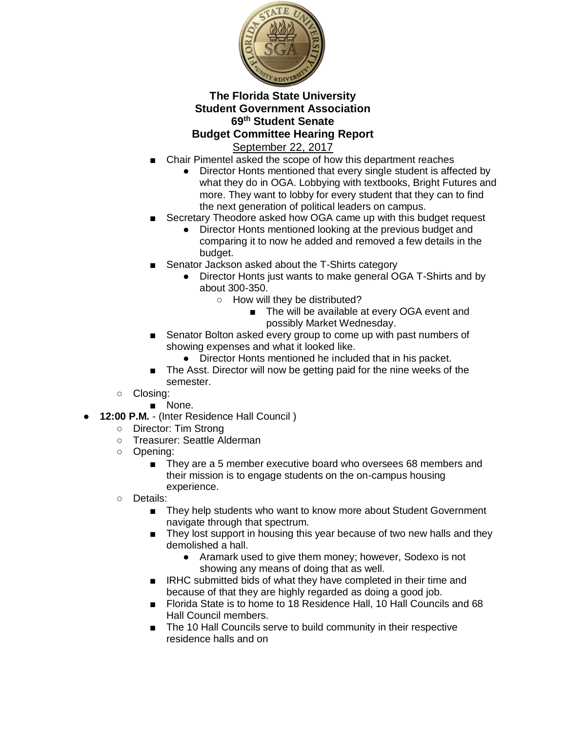

- Chair Pimentel asked the scope of how this department reaches
	- Director Honts mentioned that every single student is affected by what they do in OGA. Lobbying with textbooks, Bright Futures and more. They want to lobby for every student that they can to find the next generation of political leaders on campus.
- Secretary Theodore asked how OGA came up with this budget request
	- Director Honts mentioned looking at the previous budget and comparing it to now he added and removed a few details in the budget.
- Senator Jackson asked about the T-Shirts category
	- Director Honts just wants to make general OGA T-Shirts and by about 300-350.
		- How will they be distributed?
			- The will be available at every OGA event and possibly Market Wednesday.
- Senator Bolton asked every group to come up with past numbers of showing expenses and what it looked like.
	- Director Honts mentioned he included that in his packet.
- The Asst. Director will now be getting paid for the nine weeks of the semester.
- Closing:
	- None.
- 12:00 P.M. (Inter Residence Hall Council)
	- Director: Tim Strong
	- Treasurer: Seattle Alderman
	- Opening:
		- They are a 5 member executive board who oversees 68 members and their mission is to engage students on the on-campus housing experience.
	- Details:
		- They help students who want to know more about Student Government navigate through that spectrum.
		- They lost support in housing this year because of two new halls and they demolished a hall.
			- Aramark used to give them money; however, Sodexo is not showing any means of doing that as well.
		- IRHC submitted bids of what they have completed in their time and because of that they are highly regarded as doing a good job.
		- Florida State is to home to 18 Residence Hall, 10 Hall Councils and 68 Hall Council members.
		- The 10 Hall Councils serve to build community in their respective residence halls and on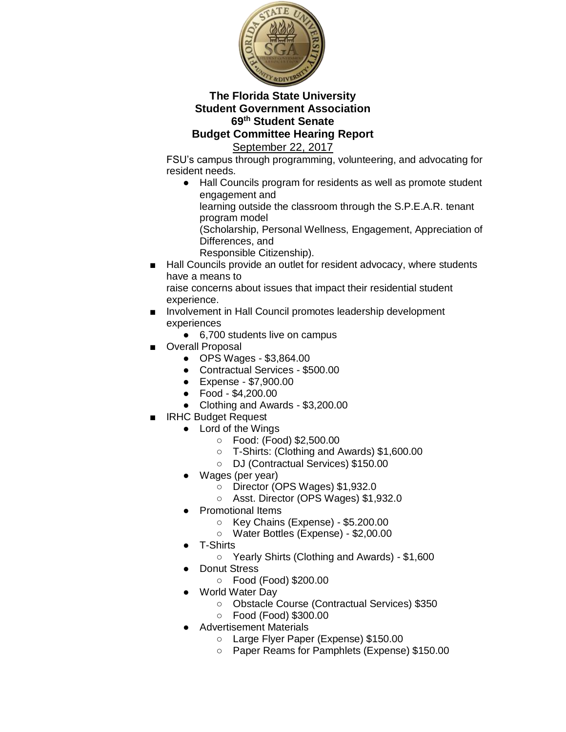

September 22, 2017

FSU's campus through programming, volunteering, and advocating for resident needs.

● Hall Councils program for residents as well as promote student engagement and

learning outside the classroom through the S.P.E.A.R. tenant program model

(Scholarship, Personal Wellness, Engagement, Appreciation of Differences, and

- Responsible Citizenship).
- Hall Councils provide an outlet for resident advocacy, where students have a means to

raise concerns about issues that impact their residential student experience.

- Involvement in Hall Council promotes leadership development experiences
	- 6,700 students live on campus
- Overall Proposal
	- OPS Wages \$3,864.00
	- Contractual Services \$500.00
	- Expense \$7,900.00
	- Food \$4,200.00
	- Clothing and Awards \$3,200.00
- **IRHC Budget Request** 
	- Lord of the Wings
		- Food: (Food) \$2,500.00
		- T-Shirts: (Clothing and Awards) \$1,600.00
		- DJ (Contractual Services) \$150.00
	- Wages (per year)
		- Director (OPS Wages) \$1,932.0
		- Asst. Director (OPS Wages) \$1,932.0
	- **Promotional Items** 
		- Key Chains (Expense) \$5.200.00
		- Water Bottles (Expense) \$2,00.00
	- T-Shirts
		- Yearly Shirts (Clothing and Awards) \$1,600
		- **Donut Stress** 
			- Food (Food) \$200.00
		- **World Water Day** 
			- Obstacle Course (Contractual Services) \$350
			- Food (Food) \$300.00
		- Advertisement Materials
			- Large Flyer Paper (Expense) \$150.00
			- Paper Reams for Pamphlets (Expense) \$150.00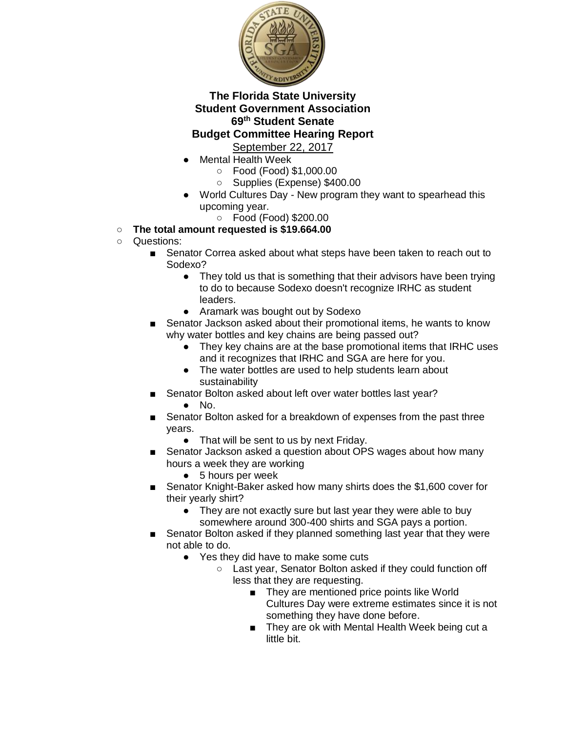

- Mental Health Week
	- Food (Food) \$1,000.00
	- Supplies (Expense) \$400.00
- World Cultures Day New program they want to spearhead this upcoming year.
	- Food (Food) \$200.00
- **The total amount requested is \$19.664.00**
- Questions:
	- Senator Correa asked about what steps have been taken to reach out to Sodexo?
		- They told us that is something that their advisors have been trying to do to because Sodexo doesn't recognize IRHC as student leaders.
		- Aramark was bought out by Sodexo
	- Senator Jackson asked about their promotional items, he wants to know why water bottles and key chains are being passed out?
		- They key chains are at the base promotional items that IRHC uses and it recognizes that IRHC and SGA are here for you.
		- The water bottles are used to help students learn about sustainability
		- Senator Bolton asked about left over water bottles last year?
			- $\bullet$  No.
	- Senator Bolton asked for a breakdown of expenses from the past three years.
		- That will be sent to us by next Friday.
	- Senator Jackson asked a question about OPS wages about how many hours a week they are working
		- 5 hours per week
	- Senator Knight-Baker asked how many shirts does the \$1,600 cover for their yearly shirt?
		- They are not exactly sure but last year they were able to buy somewhere around 300-400 shirts and SGA pays a portion.
	- Senator Bolton asked if they planned something last year that they were not able to do.
		- Yes they did have to make some cuts
			- Last year, Senator Bolton asked if they could function off less that they are requesting.
				- They are mentioned price points like World Cultures Day were extreme estimates since it is not something they have done before.
				- They are ok with Mental Health Week being cut a little bit.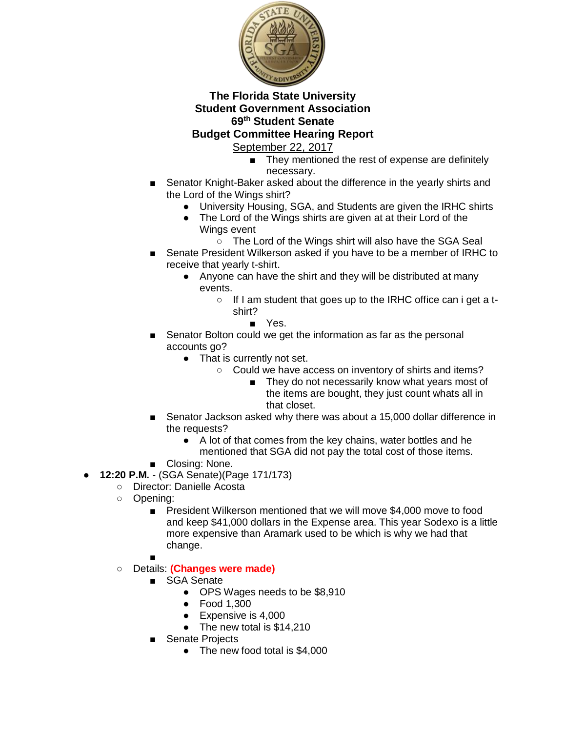

- They mentioned the rest of expense are definitely necessary.
- Senator Knight-Baker asked about the difference in the yearly shirts and the Lord of the Wings shirt?
	- University Housing, SGA, and Students are given the IRHC shirts
	- The Lord of the Wings shirts are given at at their Lord of the Wings event
		- The Lord of the Wings shirt will also have the SGA Seal
- Senate President Wilkerson asked if you have to be a member of IRHC to receive that yearly t-shirt.
	- Anyone can have the shirt and they will be distributed at many events.
		- If I am student that goes up to the IRHC office can i get a tshirt?
			- Yes.
- Senator Bolton could we get the information as far as the personal accounts go?
	- That is currently not set.
		- Could we have access on inventory of shirts and items?
			- They do not necessarily know what years most of the items are bought, they just count whats all in that closet.
- Senator Jackson asked why there was about a 15,000 dollar difference in the requests?
	- A lot of that comes from the key chains, water bottles and he mentioned that SGA did not pay the total cost of those items.
- Closing: None.
- **12:20 P.M.**  (SGA Senate)(Page 171/173)
	- Director: Danielle Acosta
	- Opening:
		- President Wilkerson mentioned that we will move \$4,000 move to food and keep \$41,000 dollars in the Expense area. This year Sodexo is a little more expensive than Aramark used to be which is why we had that change.
		- ■
	- Details: **(Changes were made)**
		- SGA Senate
			- OPS Wages needs to be \$8,910
			- Food 1,300
			- Expensive is 4,000
			- The new total is \$14,210
		- Senate Projects
			- The new food total is \$4,000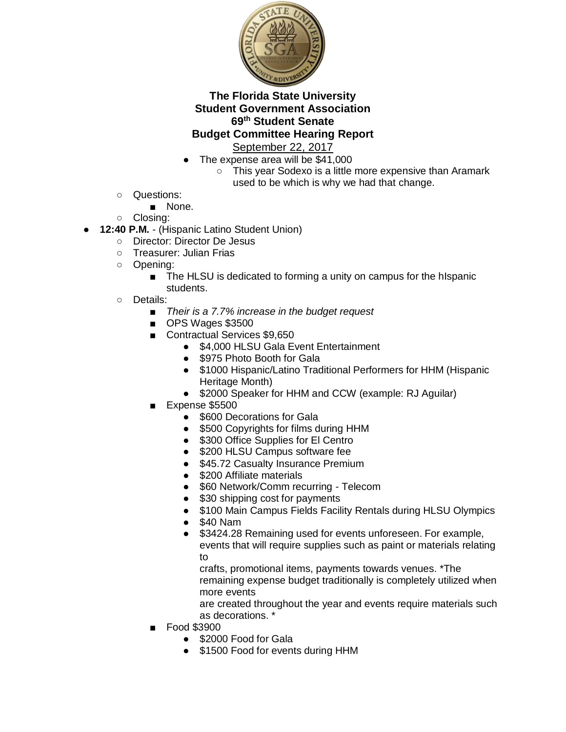

- The expense area will be \$41,000
	- This year Sodexo is a little more expensive than Aramark used to be which is why we had that change.
- Questions:
	- None.
- Closing:
- **12:40 P.M.** (Hispanic Latino Student Union)
	- Director: Director De Jesus
	- Treasurer: Julian Frias
	- Opening:
		- The HLSU is dedicated to forming a unity on campus for the hIspanic students.
	- Details:
		- *Their is a 7.7% increase in the budget request*
		- OPS Wages \$3500
		- Contractual Services \$9,650
			- \$4,000 HLSU Gala Event Entertainment
			- \$975 Photo Booth for Gala
			- \$1000 Hispanic/Latino Traditional Performers for HHM (Hispanic Heritage Month)
			- \$2000 Speaker for HHM and CCW (example: RJ Aguilar)
		- Expense \$5500
			- \$600 Decorations for Gala
			- \$500 Copyrights for films during HHM
			- \$300 Office Supplies for El Centro
			- \$200 HLSU Campus software fee
			- \$45.72 Casualty Insurance Premium
			- \$200 Affiliate materials
			- \$60 Network/Comm recurring Telecom
			- \$30 shipping cost for payments
			- \$100 Main Campus Fields Facility Rentals during HLSU Olympics
			- \$40 Nam
			- \$3424.28 Remaining used for events unforeseen. For example, events that will require supplies such as paint or materials relating to

crafts, promotional items, payments towards venues. \*The remaining expense budget traditionally is completely utilized when more events

are created throughout the year and events require materials such as decorations. \*

- Food \$3900
	- \$2000 Food for Gala
	- \$1500 Food for events during HHM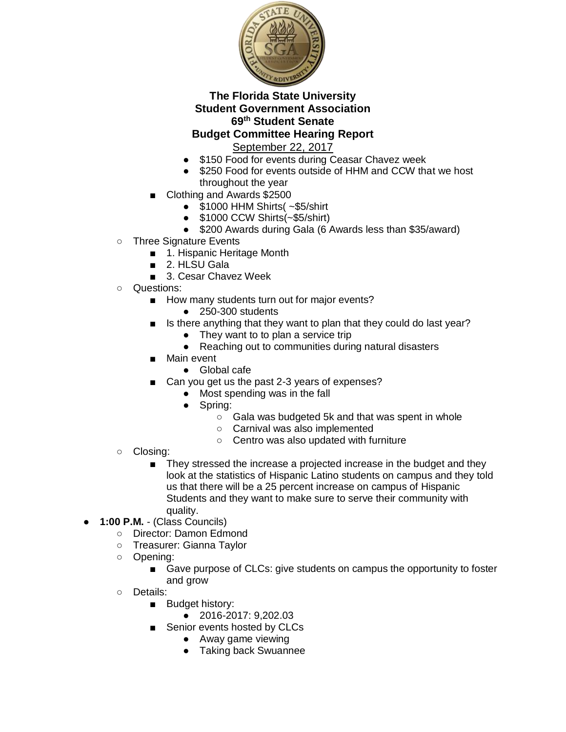

- \$150 Food for events during Ceasar Chavez week
- \$250 Food for events outside of HHM and CCW that we host throughout the year
- Clothing and Awards \$2500
	- $\bullet$  \$1000 HHM Shirts( $\sim$ \$5/shirt
	- \$1000 CCW Shirts(~\$5/shirt)
	- \$200 Awards during Gala (6 Awards less than \$35/award)
- Three Signature Events
	- 1. Hispanic Heritage Month
	- 2. HLSU Gala
	- 3. Cesar Chavez Week
- Questions:
	- How many students turn out for major events?
		- 250-300 students
	- Is there anything that they want to plan that they could do last year?
		- They want to to plan a service trip
		- Reaching out to communities during natural disasters
	- Main event
		- Global cafe
	- Can you get us the past 2-3 years of expenses?
		- Most spending was in the fall
			- Spring:
				- Gala was budgeted 5k and that was spent in whole
				- Carnival was also implemented
				- Centro was also updated with furniture
- Closing:
	- They stressed the increase a projected increase in the budget and they look at the statistics of Hispanic Latino students on campus and they told us that there will be a 25 percent increase on campus of Hispanic Students and they want to make sure to serve their community with quality.
- **1:00 P.M.**  (Class Councils)
	- Director: Damon Edmond
	- Treasurer: Gianna Taylor
	- Opening:
		- Gave purpose of CLCs: give students on campus the opportunity to foster and grow
	- Details:
		- Budget history:
			- 2016-2017: 9,202.03
		- Senior events hosted by CLCs
			- Away game viewing
			- Taking back Swuannee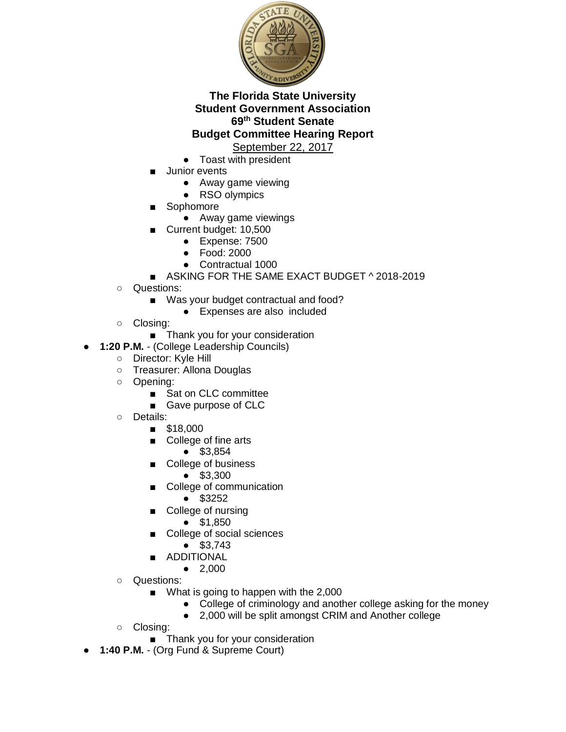

- Toast with president
- Junior events
	- Away game viewing
	- RSO olympics
- **Sophomore** 
	- Away game viewings
- Current budget: 10,500
	- Expense: 7500
	- Food: 2000
	- Contractual 1000
- ASKING FOR THE SAME EXACT BUDGET ^ 2018-2019
- Questions:
	- Was your budget contractual and food?
		- Expenses are also included
- Closing:
	- Thank you for your consideration
- 1:20 P.M. (College Leadership Councils)
	- Director: Kyle Hill
	- Treasurer: Allona Douglas
	- Opening:
		- Sat on CLC committee
		- Gave purpose of CLC
	- Details:
		- \$18,000
		- College of fine arts
			- \$3,854
		- College of business
			- \$3,300
		- College of communication
			- \$3252
		- College of nursing
			- \$1,850
		- College of social sciences
			- \$3,743
		- ADDITIONAL
			- 2,000
	- Questions:
		- What is going to happen with the 2,000
			- College of criminology and another college asking for the money
			- 2,000 will be split amongst CRIM and Another college
	- Closing:
		- Thank you for your consideration
- **1:40 P.M.**  (Org Fund & Supreme Court)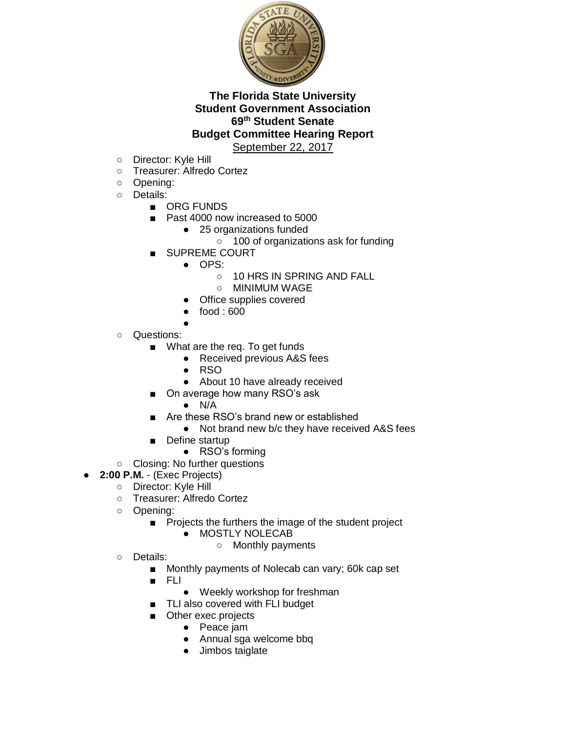

- Director: Kyle Hill
- Treasurer: Alfredo Cortez
- Opening:
- Details:
	- ORG FUNDS
	- Past 4000 now increased to 5000
		- 25 organizations funded
		- 100 of organizations ask for funding
	- SUPREME COURT
		- OPS:
			- 10 HRS IN SPRING AND FALL
			- MINIMUM WAGE
		- Office supplies covered
		- $food: 600$
- ○ Questions:
	- What are the req. To get funds
		- Received previous A&S fees
		- RSO
		- About 10 have already received
		- On average how many RSO's ask
			- $\bullet$  N/A
	- Are these RSO's brand new or established
		- Not brand new b/c they have received A&S fees
	- Define startup
		- RSO's forming
- Closing: No further questions
- **2:00 P.M.** (Exec Projects)
	- Director: Kyle Hill
	- Treasurer: Alfredo Cortez
	- Opening:
		- Projects the furthers the image of the student project
			- **MOSTLY NOLECAB** 
				- Monthly payments
	- Details:
		- Monthly payments of Nolecab can vary; 60k cap set
		- FLI
			- Weekly workshop for freshman
		- TLI also covered with FLI budget
		- Other exec projects
			- Peace jam
			- Annual sga welcome bbq
			- Jimbos taiglate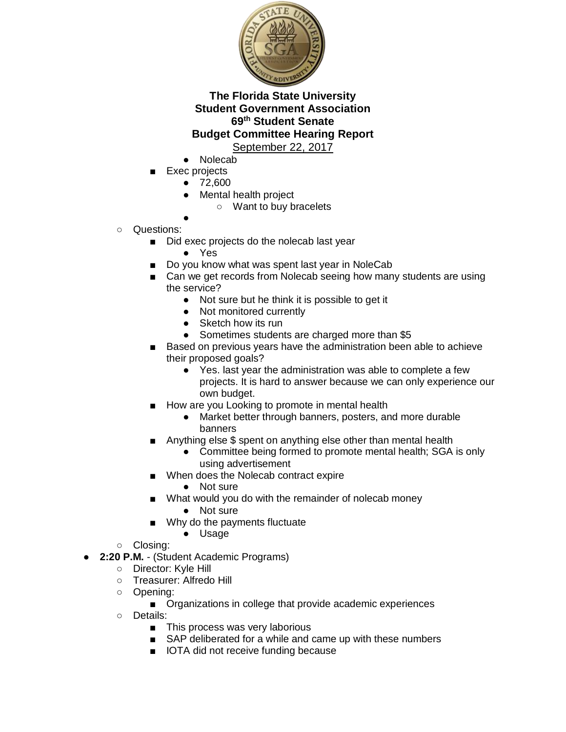

- **Nolecab**
- Exec projects
	- 72,600
	- Mental health project
		- Want to buy bracelets
- Questions:
	- Did exec projects do the nolecab last year
		- Yes

●

- Do you know what was spent last year in NoleCab
- Can we get records from Nolecab seeing how many students are using the service?
	- Not sure but he think it is possible to get it
	- Not monitored currently
	- Sketch how its run
	- Sometimes students are charged more than \$5
- Based on previous years have the administration been able to achieve their proposed goals?
	- Yes. last year the administration was able to complete a few projects. It is hard to answer because we can only experience our own budget.
- How are you Looking to promote in mental health
	- Market better through banners, posters, and more durable banners
- Anything else \$ spent on anything else other than mental health
	- Committee being formed to promote mental health; SGA is only using advertisement
- When does the Nolecab contract expire
	- Not sure
- What would you do with the remainder of nolecab money
	- Not sure
- Why do the payments fluctuate
	- Usage
- Closing:
- **2:20 P.M.** (Student Academic Programs)
	- Director: Kyle Hill<br>○ Treasurer: Alfredo
	- Treasurer: Alfredo Hill
	- Opening:
		- Organizations in college that provide academic experiences
	- Details:
		- This process was very laborious
		- SAP deliberated for a while and came up with these numbers
		- IOTA did not receive funding because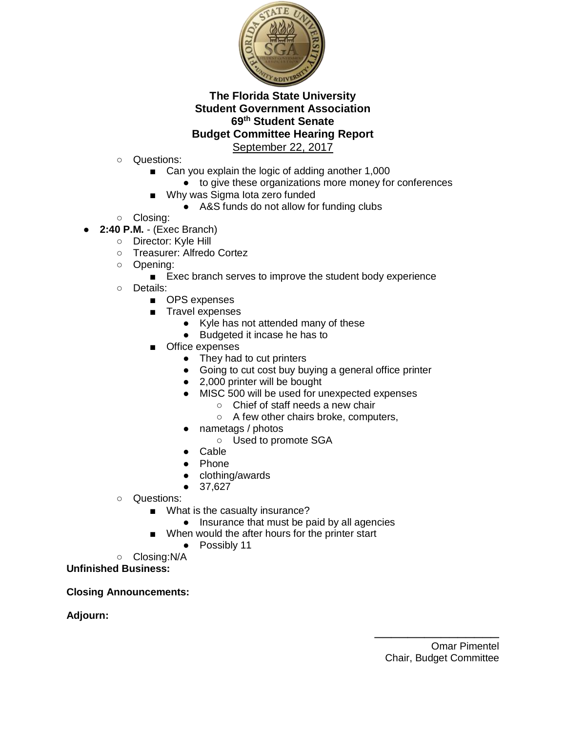

- Questions:
	- Can you explain the logic of adding another 1,000
		- to give these organizations more money for conferences
	- Why was Sigma lota zero funded
		- A&S funds do not allow for funding clubs
- Closing:
- **2:40 P.M.**  (Exec Branch)
	- Director: Kyle Hill
	- Treasurer: Alfredo Cortez
	- Opening:
		- Exec branch serves to improve the student body experience
	- Details:
		- OPS expenses
		- Travel expenses
			- Kyle has not attended many of these
			- Budgeted it incase he has to
		- Office expenses
			- They had to cut printers
			- Going to cut cost buy buying a general office printer
			- 2,000 printer will be bought
			- MISC 500 will be used for unexpected expenses
				- Chief of staff needs a new chair
				- A few other chairs broke, computers,
			- nametags / photos
				- Used to promote SGA
			- Cable
			- Phone
			- clothing/awards
			- 37,627
	- Questions:
		- What is the casualty insurance?
			- Insurance that must be paid by all agencies
			- When would the after hours for the printer start
				- Possibly 11
	- Closing:N/A
- **Unfinished Business:**

**Closing Announcements:**

**Adjourn:**

\_\_\_\_\_\_\_\_\_\_\_\_\_\_\_